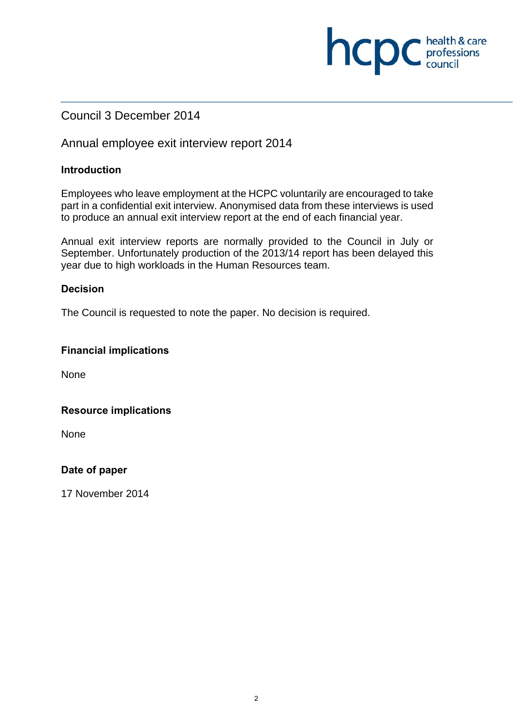# Council 3 December 2014

# Annual employee exit interview report 2014

#### **Introduction**

Employees who leave employment at the HCPC voluntarily are encouraged to take part in a confidential exit interview. Anonymised data from these interviews is used to produce an annual exit interview report at the end of each financial year.

**NCDC** health & care

Annual exit interview reports are normally provided to the Council in July or September. Unfortunately production of the 2013/14 report has been delayed this year due to high workloads in the Human Resources team.

#### **Decision**

The Council is requested to note the paper. No decision is required.

#### **Financial implications**

None

#### **Resource implications**

None

#### **Date of paper**

17 November 2014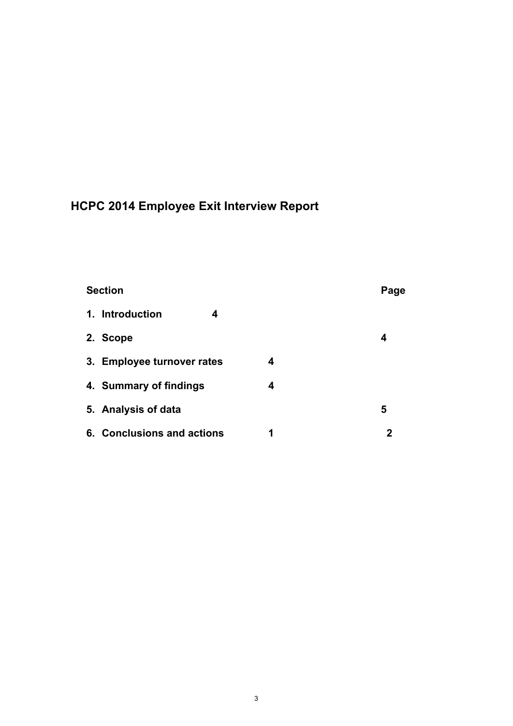# **HCPC 2014 Employee Exit Interview Report**

# **Section Page 2018**

| 1. Introduction            | 4 |   |   |
|----------------------------|---|---|---|
| 2. Scope                   |   |   | 4 |
| 3. Employee turnover rates |   | 4 |   |
| 4. Summary of findings     |   | 4 |   |
| 5. Analysis of data        |   |   | 5 |
| 6. Conclusions and actions |   |   | 2 |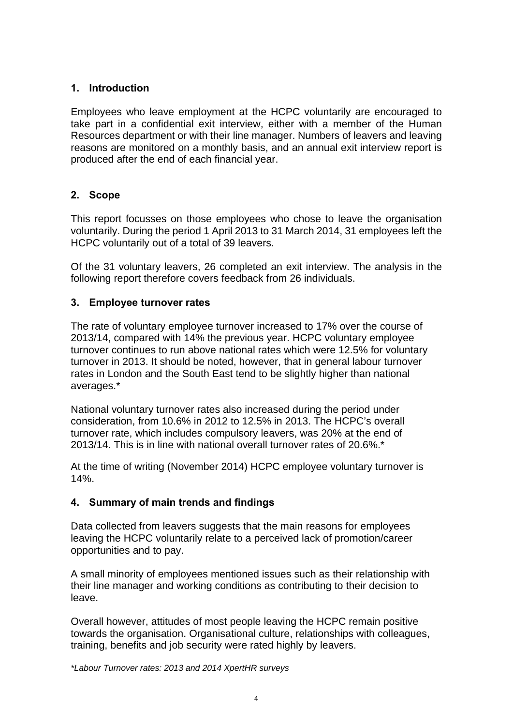# **1. Introduction**

Employees who leave employment at the HCPC voluntarily are encouraged to take part in a confidential exit interview, either with a member of the Human Resources department or with their line manager. Numbers of leavers and leaving reasons are monitored on a monthly basis, and an annual exit interview report is produced after the end of each financial year.

# **2. Scope**

This report focusses on those employees who chose to leave the organisation voluntarily. During the period 1 April 2013 to 31 March 2014, 31 employees left the HCPC voluntarily out of a total of 39 leavers.

Of the 31 voluntary leavers, 26 completed an exit interview. The analysis in the following report therefore covers feedback from 26 individuals.

# **3. Employee turnover rates**

The rate of voluntary employee turnover increased to 17% over the course of 2013/14, compared with 14% the previous year. HCPC voluntary employee turnover continues to run above national rates which were 12.5% for voluntary turnover in 2013. It should be noted, however, that in general labour turnover rates in London and the South East tend to be slightly higher than national averages.\*

National voluntary turnover rates also increased during the period under consideration, from 10.6% in 2012 to 12.5% in 2013. The HCPC's overall turnover rate, which includes compulsory leavers, was 20% at the end of 2013/14. This is in line with national overall turnover rates of 20.6%.\*

At the time of writing (November 2014) HCPC employee voluntary turnover is 14%.

# **4. Summary of main trends and findings**

Data collected from leavers suggests that the main reasons for employees leaving the HCPC voluntarily relate to a perceived lack of promotion/career opportunities and to pay.

A small minority of employees mentioned issues such as their relationship with their line manager and working conditions as contributing to their decision to leave.

Overall however, attitudes of most people leaving the HCPC remain positive towards the organisation. Organisational culture, relationships with colleagues, training, benefits and job security were rated highly by leavers.

*\*Labour Turnover rates: 2013 and 2014 XpertHR surveys*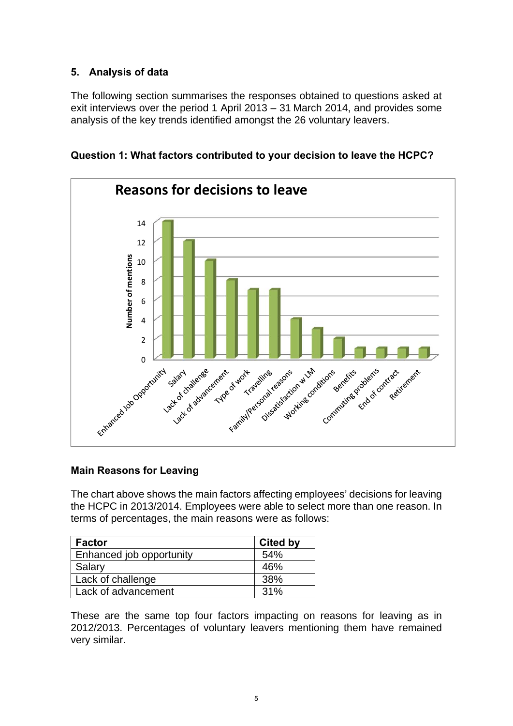# **5. Analysis of data**

The following section summarises the responses obtained to questions asked at exit interviews over the period 1 April 2013 – 31 March 2014, and provides some analysis of the key trends identified amongst the 26 voluntary leavers.



**Question 1: What factors contributed to your decision to leave the HCPC?** 

# **Main Reasons for Leaving**

The chart above shows the main factors affecting employees' decisions for leaving the HCPC in 2013/2014. Employees were able to select more than one reason. In terms of percentages, the main reasons were as follows:

| <b>Factor</b>            | <b>Cited by</b> |
|--------------------------|-----------------|
| Enhanced job opportunity | 54%             |
| Salary                   | 46%             |
| Lack of challenge        | 38%             |
| Lack of advancement      | 31%             |

These are the same top four factors impacting on reasons for leaving as in 2012/2013. Percentages of voluntary leavers mentioning them have remained very similar.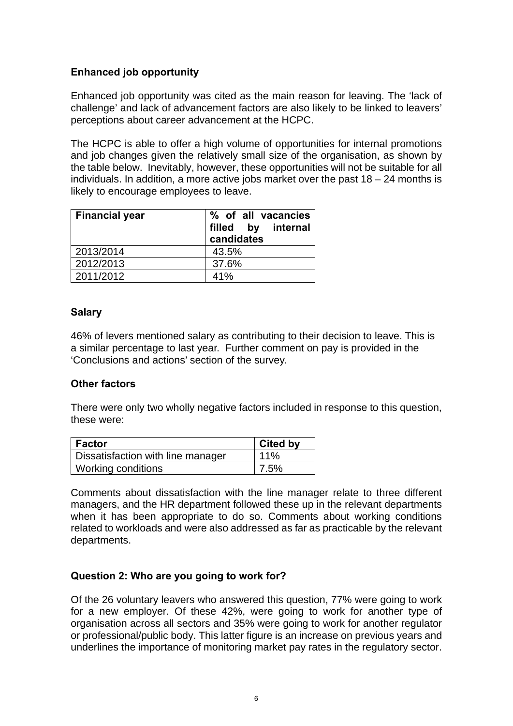# **Enhanced job opportunity**

Enhanced job opportunity was cited as the main reason for leaving. The 'lack of challenge' and lack of advancement factors are also likely to be linked to leavers' perceptions about career advancement at the HCPC.

The HCPC is able to offer a high volume of opportunities for internal promotions and job changes given the relatively small size of the organisation, as shown by the table below. Inevitably, however, these opportunities will not be suitable for all individuals. In addition, a more active jobs market over the past  $18 - 24$  months is likely to encourage employees to leave.

| <b>Financial year</b> | % of all vacancies<br>filled by internal<br>candidates |
|-----------------------|--------------------------------------------------------|
| 2013/2014             | 43.5%                                                  |
| 2012/2013             | 37.6%                                                  |
| 2011/2012             | 41%                                                    |

# **Salary**

46% of levers mentioned salary as contributing to their decision to leave. This is a similar percentage to last year. Further comment on pay is provided in the 'Conclusions and actions' section of the survey.

# **Other factors**

There were only two wholly negative factors included in response to this question, these were:

| l Factor                          | <b>Cited by</b> |
|-----------------------------------|-----------------|
| Dissatisfaction with line manager | 11%             |
| <b>Working conditions</b>         | 7.5%            |

Comments about dissatisfaction with the line manager relate to three different managers, and the HR department followed these up in the relevant departments when it has been appropriate to do so. Comments about working conditions related to workloads and were also addressed as far as practicable by the relevant departments.

# **Question 2: Who are you going to work for?**

Of the 26 voluntary leavers who answered this question, 77% were going to work for a new employer. Of these 42%, were going to work for another type of organisation across all sectors and 35% were going to work for another regulator or professional/public body. This latter figure is an increase on previous years and underlines the importance of monitoring market pay rates in the regulatory sector.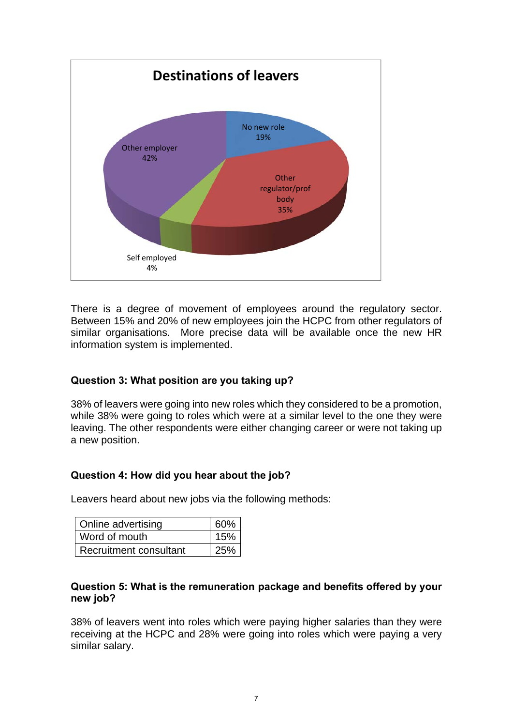

There is a degree of movement of employees around the regulatory sector. Between 15% and 20% of new employees join the HCPC from other regulators of similar organisations. More precise data will be available once the new HR information system is implemented.

# **Question 3: What position are you taking up?**

38% of leavers were going into new roles which they considered to be a promotion, while 38% were going to roles which were at a similar level to the one they were leaving. The other respondents were either changing career or were not taking up a new position.

# **Question 4: How did you hear about the job?**

Leavers heard about new jobs via the following methods:

| Online advertising     | 60% |
|------------------------|-----|
| Word of mouth          | 15% |
| Recruitment consultant | 25% |

#### **Question 5: What is the remuneration package and benefits offered by your new job?**

38% of leavers went into roles which were paying higher salaries than they were receiving at the HCPC and 28% were going into roles which were paying a very similar salary.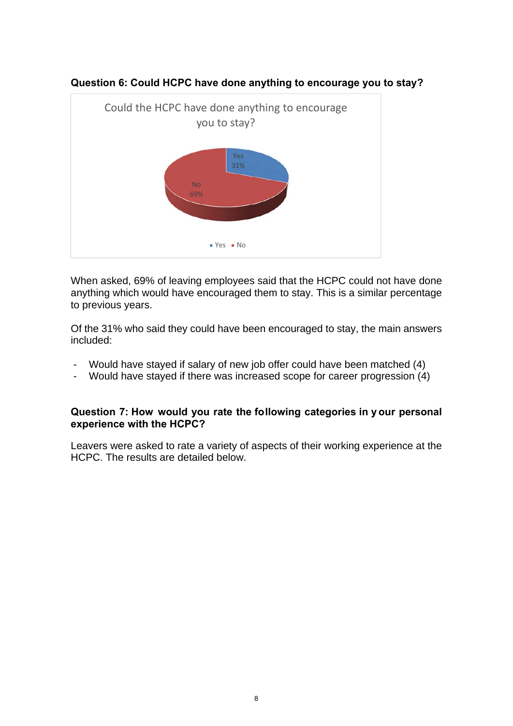

**Question 6: Could HCPC have done anything to encourage you to stay?** 

When asked, 69% of leaving employees said that the HCPC could not have done anything which would have encouraged them to stay. This is a similar percentage to previous years.

Of the 31% who said they could have been encouraged to stay, the main answers included:

- Would have stayed if salary of new job offer could have been matched (4)
- Would have stayed if there was increased scope for career progression (4)

#### **Question 7: How would you rate the following categories in y our personal experience with the HCPC?**

Leavers were asked to rate a variety of aspects of their working experience at the HCPC. The results are detailed below.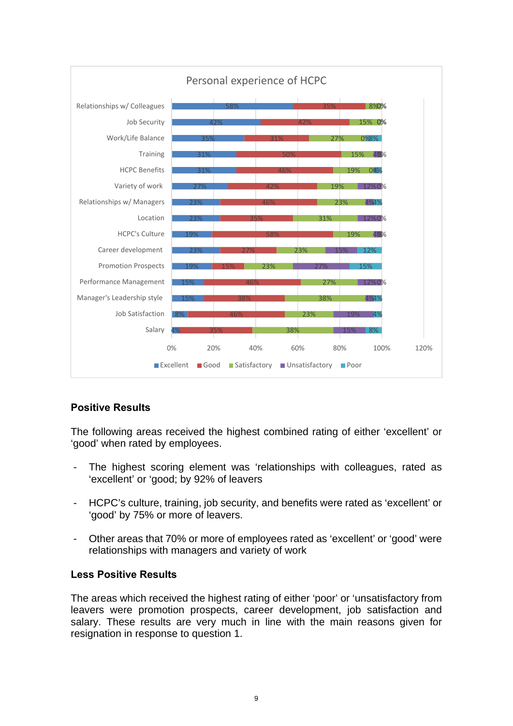

# **Positive Results**

The following areas received the highest combined rating of either 'excellent' or 'good' when rated by employees.

- The highest scoring element was 'relationships with colleagues, rated as 'excellent' or 'good; by 92% of leavers
- HCPC's culture, training, job security, and benefits were rated as 'excellent' or 'good' by 75% or more of leavers.
- Other areas that 70% or more of employees rated as 'excellent' or 'good' were relationships with managers and variety of work

#### **Less Positive Results**

The areas which received the highest rating of either 'poor' or 'unsatisfactory from leavers were promotion prospects, career development, job satisfaction and salary. These results are very much in line with the main reasons given for resignation in response to question 1.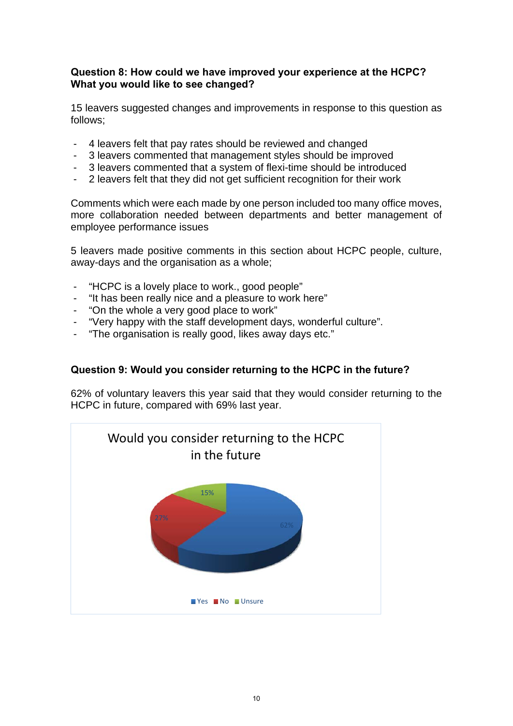#### **Question 8: How could we have improved your experience at the HCPC? What you would like to see changed?**

15 leavers suggested changes and improvements in response to this question as follows;

- 4 leavers felt that pay rates should be reviewed and changed
- 3 leavers commented that management styles should be improved
- 3 leavers commented that a system of flexi-time should be introduced
- 2 leavers felt that they did not get sufficient recognition for their work

Comments which were each made by one person included too many office moves, more collaboration needed between departments and better management of employee performance issues

5 leavers made positive comments in this section about HCPC people, culture, away-days and the organisation as a whole;

- "HCPC is a lovely place to work., good people"
- "It has been really nice and a pleasure to work here"
- "On the whole a very good place to work"
- "Very happy with the staff development days, wonderful culture".
- "The organisation is really good, likes away days etc."

# **Question 9: Would you consider returning to the HCPC in the future?**

62% of voluntary leavers this year said that they would consider returning to the HCPC in future, compared with 69% last year.

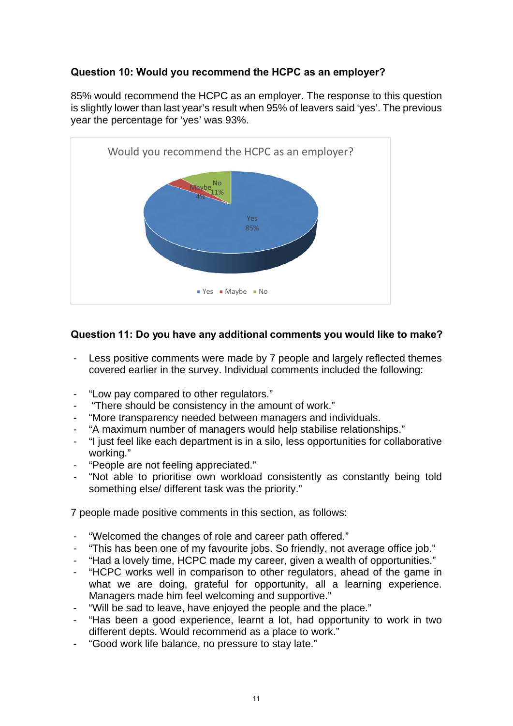# **Question 10: Would you recommend the HCPC as an employer?**

85% would recommend the HCPC as an employer. The response to this question is slightly lower than last year's result when 95% of leavers said 'yes'. The previous year the percentage for 'yes' was 93%.



# **Question 11: Do you have any additional comments you would like to make?**

- Less positive comments were made by 7 people and largely reflected themes covered earlier in the survey. Individual comments included the following:
- "Low pay compared to other regulators."
- "There should be consistency in the amount of work."
- "More transparency needed between managers and individuals.
- "A maximum number of managers would help stabilise relationships."
- "I just feel like each department is in a silo, less opportunities for collaborative working."
- "People are not feeling appreciated."
- "Not able to prioritise own workload consistently as constantly being told something else/ different task was the priority."

7 people made positive comments in this section, as follows:

- "Welcomed the changes of role and career path offered."
- "This has been one of my favourite jobs. So friendly, not average office job."
- "Had a lovely time, HCPC made my career, given a wealth of opportunities."
- "HCPC works well in comparison to other regulators, ahead of the game in what we are doing, grateful for opportunity, all a learning experience. Managers made him feel welcoming and supportive."
- "Will be sad to leave, have enjoyed the people and the place."
- "Has been a good experience, learnt a lot, had opportunity to work in two different depts. Would recommend as a place to work."
- "Good work life balance, no pressure to stay late."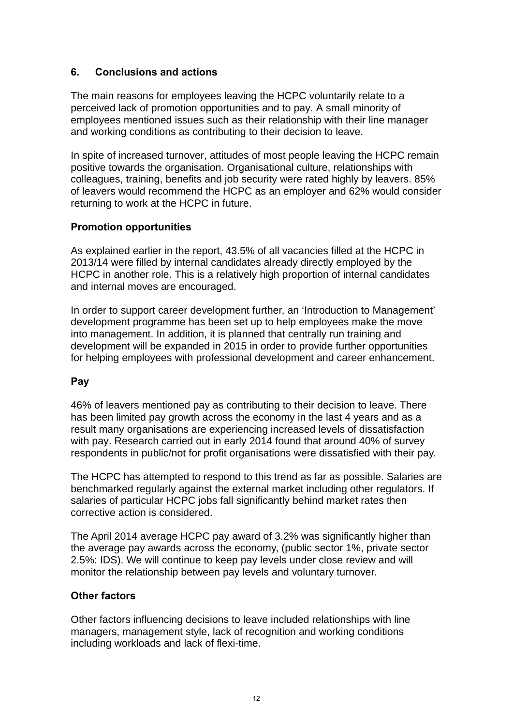#### **6. Conclusions and actions**

The main reasons for employees leaving the HCPC voluntarily relate to a perceived lack of promotion opportunities and to pay. A small minority of employees mentioned issues such as their relationship with their line manager and working conditions as contributing to their decision to leave.

In spite of increased turnover, attitudes of most people leaving the HCPC remain positive towards the organisation. Organisational culture, relationships with colleagues, training, benefits and job security were rated highly by leavers. 85% of leavers would recommend the HCPC as an employer and 62% would consider returning to work at the HCPC in future.

#### **Promotion opportunities**

As explained earlier in the report, 43.5% of all vacancies filled at the HCPC in 2013/14 were filled by internal candidates already directly employed by the HCPC in another role. This is a relatively high proportion of internal candidates and internal moves are encouraged.

In order to support career development further, an 'Introduction to Management' development programme has been set up to help employees make the move into management. In addition, it is planned that centrally run training and development will be expanded in 2015 in order to provide further opportunities for helping employees with professional development and career enhancement.

# **Pay**

46% of leavers mentioned pay as contributing to their decision to leave. There has been limited pay growth across the economy in the last 4 years and as a result many organisations are experiencing increased levels of dissatisfaction with pay. Research carried out in early 2014 found that around 40% of survey respondents in public/not for profit organisations were dissatisfied with their pay.

The HCPC has attempted to respond to this trend as far as possible. Salaries are benchmarked regularly against the external market including other regulators. If salaries of particular HCPC jobs fall significantly behind market rates then corrective action is considered.

The April 2014 average HCPC pay award of 3.2% was significantly higher than the average pay awards across the economy, (public sector 1%, private sector 2.5%: IDS). We will continue to keep pay levels under close review and will monitor the relationship between pay levels and voluntary turnover.

#### **Other factors**

Other factors influencing decisions to leave included relationships with line managers, management style, lack of recognition and working conditions including workloads and lack of flexi-time.